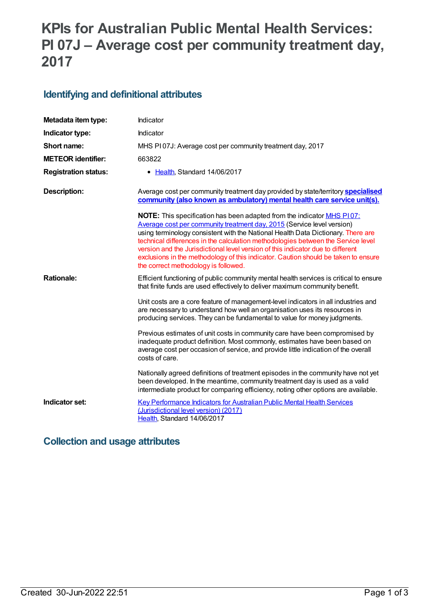# **KPIs for Australian Public Mental Health Services: PI 07J – Average cost per community treatment day, 2017**

#### **Identifying and definitional attributes**

| Metadata item type:         | Indicator                                                                                                                                                                                                                                                                                                                                                                                                                                                                                                                                               |
|-----------------------------|---------------------------------------------------------------------------------------------------------------------------------------------------------------------------------------------------------------------------------------------------------------------------------------------------------------------------------------------------------------------------------------------------------------------------------------------------------------------------------------------------------------------------------------------------------|
| Indicator type:             | Indicator                                                                                                                                                                                                                                                                                                                                                                                                                                                                                                                                               |
| Short name:                 | MHS PI07J: Average cost per community treatment day, 2017                                                                                                                                                                                                                                                                                                                                                                                                                                                                                               |
| <b>METEOR identifier:</b>   | 663822                                                                                                                                                                                                                                                                                                                                                                                                                                                                                                                                                  |
| <b>Registration status:</b> | Health, Standard 14/06/2017<br>$\bullet$                                                                                                                                                                                                                                                                                                                                                                                                                                                                                                                |
| <b>Description:</b>         | Average cost per community treatment day provided by state/territory <b>specialised</b><br>community (also known as ambulatory) mental health care service unit(s).                                                                                                                                                                                                                                                                                                                                                                                     |
|                             | <b>NOTE:</b> This specification has been adapted from the indicator <b>MHS P107:</b><br>Average cost per community treatment day, 2015 (Service level version)<br>using terminology consistent with the National Health Data Dictionary. There are<br>technical differences in the calculation methodologies between the Service level<br>version and the Jurisdictional level version of this indicator due to different<br>exclusions in the methodology of this indicator. Caution should be taken to ensure<br>the correct methodology is followed. |
| <b>Rationale:</b>           | Efficient functioning of public community mental health services is critical to ensure<br>that finite funds are used effectively to deliver maximum community benefit.                                                                                                                                                                                                                                                                                                                                                                                  |
|                             | Unit costs are a core feature of management-level indicators in all industries and<br>are necessary to understand how well an organisation uses its resources in<br>producing services. They can be fundamental to value for money judgments.                                                                                                                                                                                                                                                                                                           |
|                             | Previous estimates of unit costs in community care have been compromised by<br>inadequate product definition. Most commonly, estimates have been based on<br>average cost per occasion of service, and provide little indication of the overall<br>costs of care.                                                                                                                                                                                                                                                                                       |
|                             | Nationally agreed definitions of treatment episodes in the community have not yet<br>been developed. In the meantime, community treatment day is used as a valid<br>intermediate product for comparing efficiency, noting other options are available.                                                                                                                                                                                                                                                                                                  |
| Indicator set:              | <b>Key Performance Indicators for Australian Public Mental Health Services</b><br>(Jurisdictional level version) (2017)<br>Health, Standard 14/06/2017                                                                                                                                                                                                                                                                                                                                                                                                  |

### **Collection and usage attributes**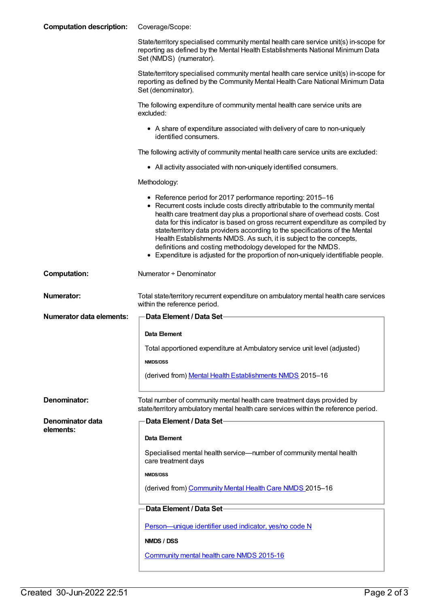| <b>Computation description:</b> | Coverage/Scope:                                                                                                                                                                                                                                                                                                                                                                                                                                                                                                                                                                                                         |
|---------------------------------|-------------------------------------------------------------------------------------------------------------------------------------------------------------------------------------------------------------------------------------------------------------------------------------------------------------------------------------------------------------------------------------------------------------------------------------------------------------------------------------------------------------------------------------------------------------------------------------------------------------------------|
|                                 | State/territory specialised community mental health care service unit(s) in-scope for<br>reporting as defined by the Mental Health Establishments National Minimum Data<br>Set (NMDS) (numerator).                                                                                                                                                                                                                                                                                                                                                                                                                      |
|                                 | State/territory specialised community mental health care service unit(s) in-scope for<br>reporting as defined by the Community Mental Health Care National Minimum Data<br>Set (denominator).                                                                                                                                                                                                                                                                                                                                                                                                                           |
|                                 | The following expenditure of community mental health care service units are<br>excluded:                                                                                                                                                                                                                                                                                                                                                                                                                                                                                                                                |
|                                 | • A share of expenditure associated with delivery of care to non-uniquely<br>identified consumers.                                                                                                                                                                                                                                                                                                                                                                                                                                                                                                                      |
|                                 | The following activity of community mental health care service units are excluded:                                                                                                                                                                                                                                                                                                                                                                                                                                                                                                                                      |
|                                 | • All activity associated with non-uniquely identified consumers.                                                                                                                                                                                                                                                                                                                                                                                                                                                                                                                                                       |
|                                 | Methodology:                                                                                                                                                                                                                                                                                                                                                                                                                                                                                                                                                                                                            |
|                                 | • Reference period for 2017 performance reporting: 2015-16<br>• Recurrent costs include costs directly attributable to the community mental<br>health care treatment day plus a proportional share of overhead costs. Cost<br>data for this indicator is based on gross recurrent expenditure as compiled by<br>state/territory data providers according to the specifications of the Mental<br>Health Establishments NMDS. As such, it is subject to the concepts,<br>definitions and costing methodology developed for the NMDS.<br>• Expenditure is adjusted for the proportion of non-uniquely identifiable people. |
| <b>Computation:</b>             | Numerator + Denominator                                                                                                                                                                                                                                                                                                                                                                                                                                                                                                                                                                                                 |
|                                 |                                                                                                                                                                                                                                                                                                                                                                                                                                                                                                                                                                                                                         |
| <b>Numerator:</b>               | Total state/territory recurrent expenditure on ambulatory mental health care services<br>within the reference period.                                                                                                                                                                                                                                                                                                                                                                                                                                                                                                   |
| <b>Numerator data elements:</b> | Data Element / Data Set-                                                                                                                                                                                                                                                                                                                                                                                                                                                                                                                                                                                                |
|                                 | Data Element                                                                                                                                                                                                                                                                                                                                                                                                                                                                                                                                                                                                            |
|                                 | Total apportioned expenditure at Ambulatory service unit level (adjusted)                                                                                                                                                                                                                                                                                                                                                                                                                                                                                                                                               |
|                                 | <b>NMDS/DSS</b>                                                                                                                                                                                                                                                                                                                                                                                                                                                                                                                                                                                                         |
|                                 | (derived from) Mental Health Establishments NMDS 2015-16                                                                                                                                                                                                                                                                                                                                                                                                                                                                                                                                                                |
| Denominator:                    | Total number of community mental health care treatment days provided by<br>state/territory ambulatory mental health care services within the reference period.                                                                                                                                                                                                                                                                                                                                                                                                                                                          |
| Denominator data                | <b>Data Element / Data Set-</b>                                                                                                                                                                                                                                                                                                                                                                                                                                                                                                                                                                                         |
| elements:                       | Data Element                                                                                                                                                                                                                                                                                                                                                                                                                                                                                                                                                                                                            |
|                                 | Specialised mental health service—number of community mental health<br>care treatment days                                                                                                                                                                                                                                                                                                                                                                                                                                                                                                                              |
|                                 | <b>NMDS/DSS</b>                                                                                                                                                                                                                                                                                                                                                                                                                                                                                                                                                                                                         |
|                                 | (derived from) Community Mental Health Care NMDS 2015-16                                                                                                                                                                                                                                                                                                                                                                                                                                                                                                                                                                |
|                                 | Data Element / Data Set-                                                                                                                                                                                                                                                                                                                                                                                                                                                                                                                                                                                                |
|                                 | Person-unique identifier used indicator, yes/no code N                                                                                                                                                                                                                                                                                                                                                                                                                                                                                                                                                                  |
|                                 | NMDS / DSS                                                                                                                                                                                                                                                                                                                                                                                                                                                                                                                                                                                                              |